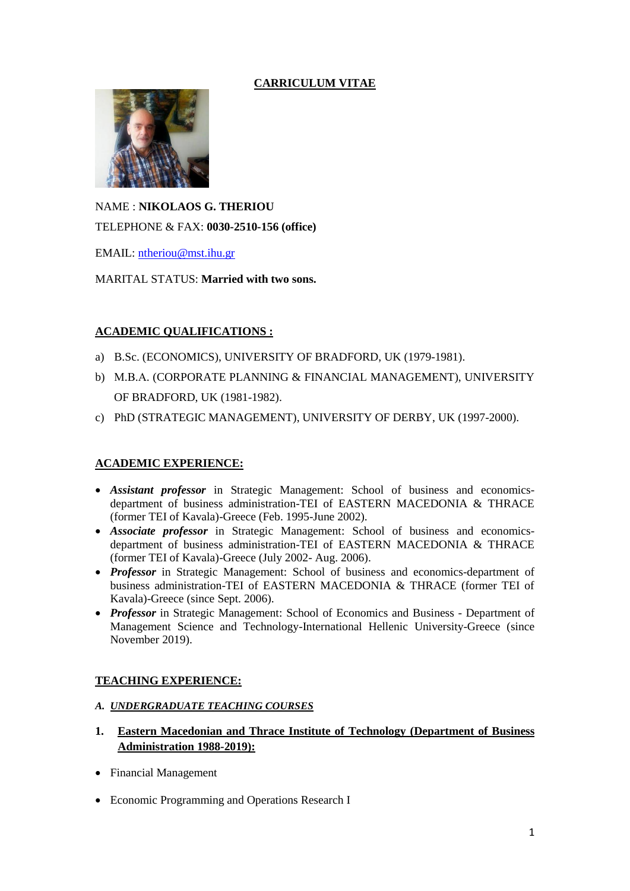# **CARRICULUM VITAE**



NAME : **NIKOLAOS G. THERIOU** TELEPHONE & FAX: **0030-2510-156 (office)**

EMAIL: [ntheriou@mst.ihu.gr](mailto:ntheriou@teiemt.gr)

MARITAL STATUS: **Married with two sons.**

# **ACADEMIC QUALIFICATIONS :**

- a) B.Sc. (ECONOMICS), UNIVERSITY OF BRADFORD, UK (1979-1981).
- b) Μ.Β.Α. (CORPORATE PLANNING & FINANCIAL MANAGEMENT), UNIVERSITY OF BRADFORD, UK (1981-1982).
- c) PhD (STRATEGIC MANAGEMENT), UNIVERSITY OF DERBY, UK (1997-2000).

# **ACADEMIC EXPERIENCE:**

- *Assistant professor* in Strategic Management: School of business and economicsdepartment of business administration-TEI of EASTERN MACEDONIA & THRACE (former TEI of Kavala)-Greece (Feb. 1995-June 2002).
- *Associate professor* in Strategic Management: School of business and economicsdepartment of business administration-TEI of EASTERN MACEDONIA & THRACE (former TEI of Kavala)-Greece (July 2002- Aug. 2006).
- *Professor* in Strategic Management: School of business and economics-department of business administration-TEI of EASTERN MACEDONIA & THRACE (former TEI of Kavala)-Greece (since Sept. 2006).
- *Professor* in Strategic Management: School of Economics and Business Department of Management Science and Technology-International Hellenic University-Greece (since November 2019).

## **TEACHING EXPERIENCE:**

- *A. UNDERGRADUATE TEACHING COURSES*
- **1. Eastern Macedonian and Thrace Institute of Technology (Department of Business Administration 1988-2019):**
- Financial Management
- Economic Programming and Operations Research I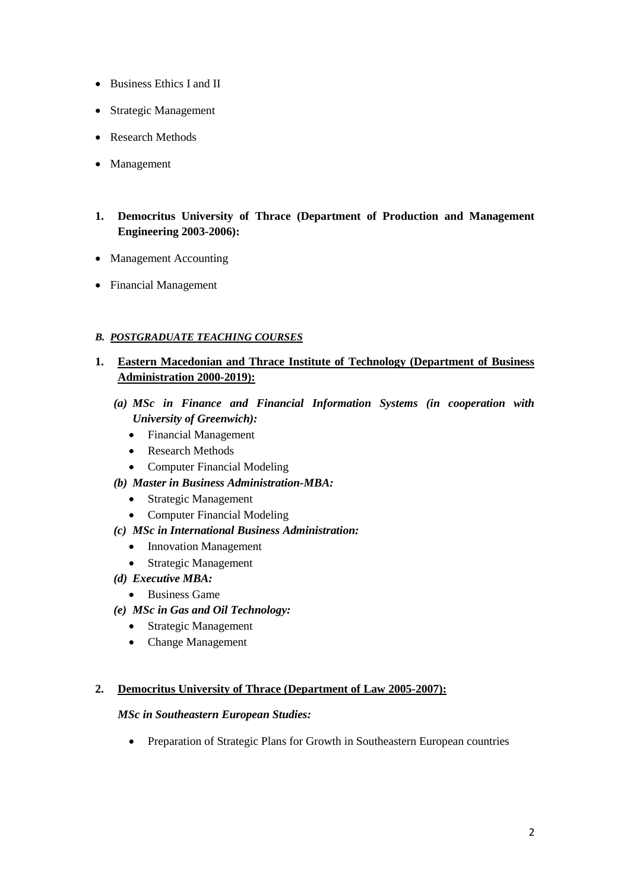- Business Ethics I and II
- Strategic Management
- Research Methods
- Management
- **1. Democritus University of Thrace (Department of Production and Management Engineering 2003-2006):**
- Management Accounting
- Financial Management

# *B. POSTGRADUATE TEACHING COURSES*

- **1. Eastern Macedonian and Thrace Institute of Technology (Department of Business Administration 2000-2019):**
	- *(a) MSc in Finance and Financial Information Systems (in cooperation with University of Greenwich):*
		- Financial Management
		- Research Methods
		- Computer Financial Modeling
	- *(b) Master in Business Administration-MBA:*
		- Strategic Management
		- Computer Financial Modeling
	- *(c) MSc in International Business Administration:*
		- Innovation Management
		- Strategic Management
	- *(d) Executive MBA:*
		- Business Game
	- *(e) MSc in Gas and Oil Technology:*
		- Strategic Management
		- Change Management

## **2. Democritus University of Thrace (Department of Law 2005-2007):**

## *MSc in Southeastern European Studies:*

• Preparation of Strategic Plans for Growth in Southeastern European countries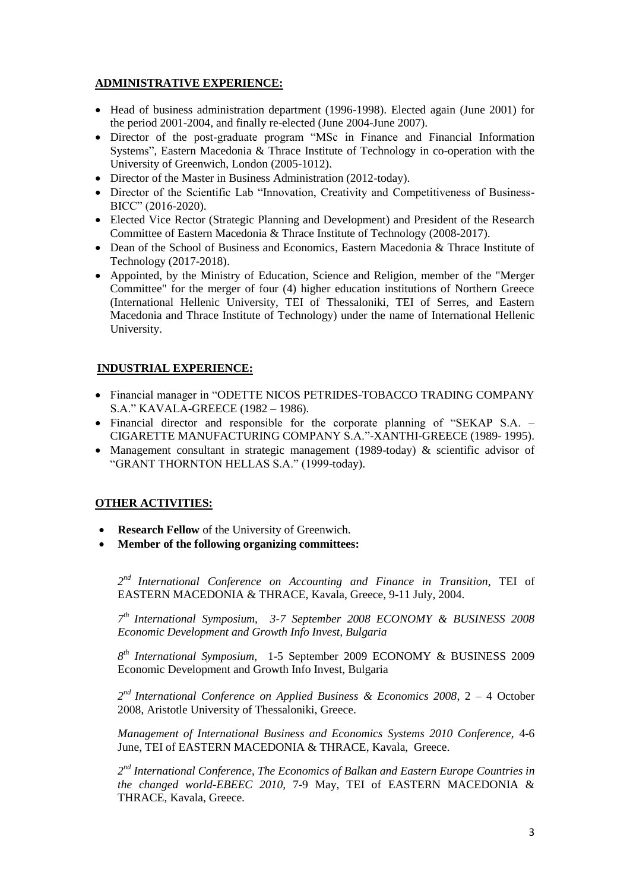# **ADMINISTRATIVE EXPERIENCE:**

- Head of business administration department (1996-1998). Elected again (June 2001) for the period 2001-2004, and finally re-elected (June 2004-June 2007).
- Director of the post-graduate program "MSc in Finance and Financial Information Systems", Eastern Macedonia & Thrace Institute of Technology in co-operation with the University of Greenwich, London (2005-1012).
- Director of the Master in Business Administration (2012-today).
- Director of the Scientific Lab "Innovation, Creativity and Competitiveness of Business-BICC" (2016-2020).
- Elected Vice Rector (Strategic Planning and Development) and President of the Research Committee of Eastern Macedonia & Thrace Institute of Technology (2008-2017).
- Dean of the School of Business and Economics, Eastern Macedonia & Thrace Institute of Technology (2017-2018).
- Appointed, by the Ministry of Education, Science and Religion, member of the "Merger Committee" for the merger of four (4) higher education institutions of Northern Greece (International Hellenic University, TEI of Thessaloniki, TEI of Serres, and Eastern Macedonia and Thrace Institute of Technology) under the name of International Hellenic University.

## **INDUSTRIAL EXPERIENCE:**

- Financial manager in "ODETTE NICOS PETRIDES-TOBACCO TRADING COMPANY S.A." KAVALA-GREECE (1982 – 1986).
- Financial director and responsible for the corporate planning of "SEKAP S.A. CIGARETTE MANUFACTURING COMPANY S.A."-XANTHI-GREECE (1989- 1995).
- Management consultant in strategic management (1989-today) & scientific advisor of "GRANT THORNTON HELLAS S.A." (1999-today).

## **OTHER ACTIVITIES:**

- **Research Fellow** of the University of Greenwich.
- **Member of the following organizing committees:**

*2 nd International Conference on Accounting and Finance in Transition,* TEI of EASTERN MACEDONIA & THRACE, Kavala, Greece, 9-11 July, 2004.

*7 th International Symposium, 3-7 September 2008 ECONOMY & BUSINESS 2008 Economic Development and Growth Info Invest, Bulgaria* 

*8 th International Symposium*, 1-5 September 2009 ECONOMY & BUSINESS 2009 Economic Development and Growth Info Invest, Bulgaria

*2 nd International Conference on Applied Business & Economics 2008*, 2 – 4 October 2008, Aristotle University of Thessaloniki, Greece.

*Management of International Business and Economics Systems 2010 Conference,* 4-6 June, TEI of EASTERN MACEDONIA & THRACE, Kavala, Greece.

*2 nd International Conference, The Economics of Balkan and Eastern Europe Countries in the changed world-EBEEC 2010,* 7-9 May, TEI of EASTERN MACEDONIA & THRACE, Kavala, Greece.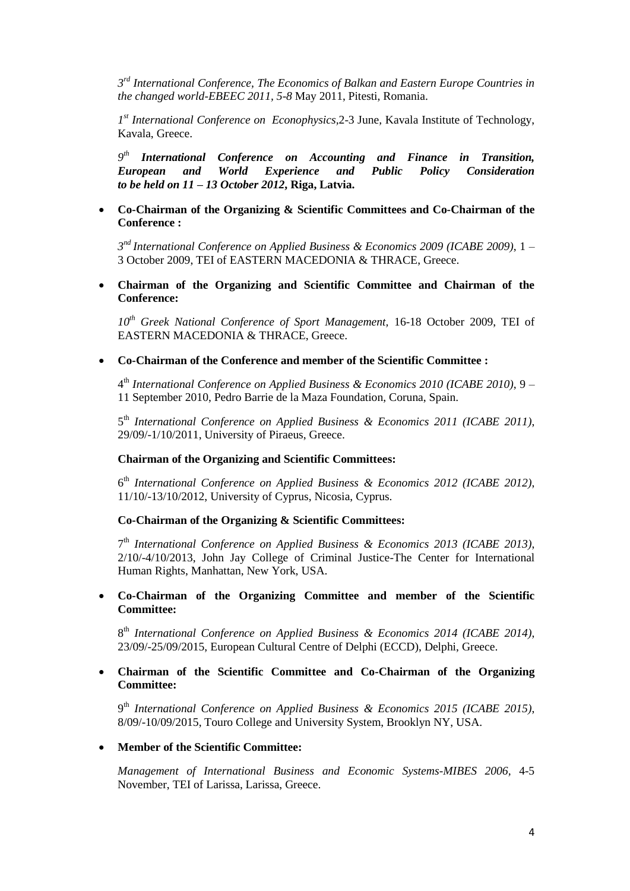*3 rd International Conference, The Economics of Balkan and Eastern Europe Countries in the changed world-EBEEC 2011, 5-8* May 2011, Pitesti, Romania.

*1 st International Conference on Econophysics,*2-3 June*,* Kavala Institute of Technology, Kavala, Greece.

*9 th International Conference on Accounting and Finance in Transition, European and World Experience and Public Policy Consideration to be held on 11 – 13 October 2012***, Riga, Latvia.**

### **Co-Chairman of the Organizing & Scientific Committees and Co-Chairman of the Conference :**

*3 nd International Conference on Applied Business & Economics 2009 (ICABE 2009)*, 1 – 3 October 2009, TEI of EASTERN MACEDONIA & THRACE, Greece.

 **Chairman of the Organizing and Scientific Committee and Chairman of the Conference:**

*10th Greek National Conference of Sport Management,* 16-18 October 2009, TEI of EASTERN MACEDONIA & THRACE, Greece.

## **Co-Chairman of the Conference and member of the Scientific Committee :**

4 th *International Conference on Applied Business & Economics 2010 (ICABE 2010)*, 9 – 11 September 2010, Pedro Barrie de la Maza Foundation, Coruna, Spain.

5 th *International Conference on Applied Business & Economics 2011 (ICABE 2011)*, 29/09/-1/10/2011, University of Piraeus, Greece.

### **Chairman of the Organizing and Scientific Committees:**

6 th *International Conference on Applied Business & Economics 2012 (ICABE 2012)*, 11/10/-13/10/2012, University of Cyprus, Nicosia, Cyprus.

## **Co-Chairman of the Organizing & Scientific Committees:**

7 th *International Conference on Applied Business & Economics 2013 (ICABE 2013)*, 2/10/-4/10/2013, John Jay College of Criminal Justice-The Center for International Human Rights, Manhattan, New York, USA.

## **Co-Chairman of the Organizing Committee and member of the Scientific Committee:**

8 th *International Conference on Applied Business & Economics 2014 (ICABE 2014)*, 23/09/-25/09/2015, European Cultural Centre of Delphi (ECCD), Delphi, Greece.

### **Chairman of the Scientific Committee and Co-Chairman of the Organizing Committee:**

9 th *International Conference on Applied Business & Economics 2015 (ICABE 2015)*, 8/09/-10/09/2015, Touro College and University System, Brooklyn NY, USA.

#### **Member of the Scientific Committee:**

*Management of International Business and Economic Systems-MIBES 2006,* 4-5 November, TEI of Larissa, Larissa, Greece.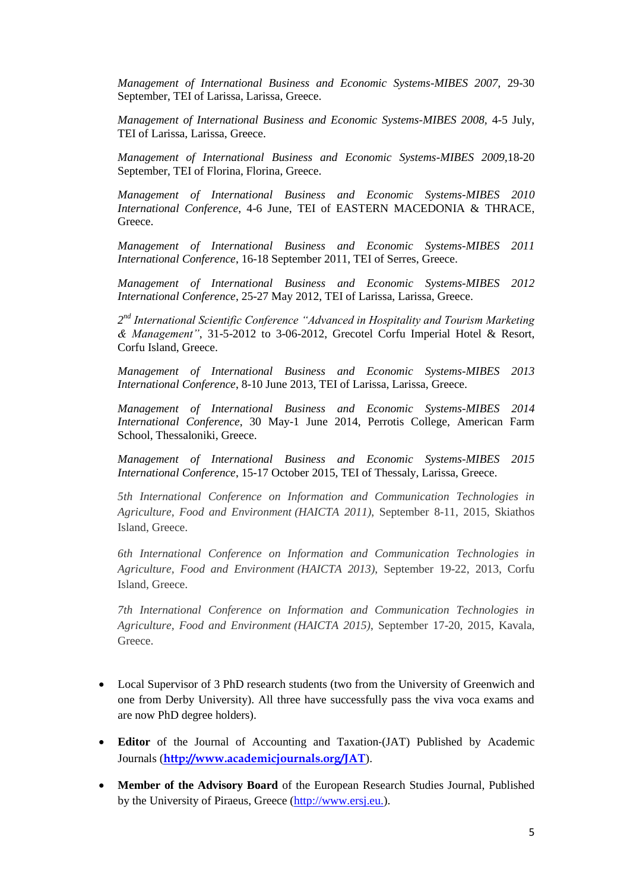*Management of International Business and Economic Systems-MIBES 2007,* 29-30 September, TEI of Larissa, Larissa, Greece.

*Management of International Business and Economic Systems-MIBES 2008,* 4-5 July, TEI of Larissa, Larissa, Greece.

*Management of International Business and Economic Systems-MIBES 2009,*18-20 September, TEI of Florina, Florina, Greece.

*Management of International Business and Economic Systems-MIBES 2010 International Conference*, 4-6 June, TEI of EASTERN MACEDONIA & THRACE, Greece.

*Management of International Business and Economic Systems-MIBES 2011 International Conference*, 16-18 September 2011, TEI of Serres, Greece.

*Management of International Business and Economic Systems-MIBES 2012 International Conference*, 25-27 May 2012, TEI of Larissa, Larissa, Greece.

2<sup>nd</sup> International Scientific Conference "Advanced in Hospitality and Tourism Marketing *& Management"*, 31-5-2012 to 3-06-2012, Grecotel Corfu Imperial Hotel & Resort, Corfu Island, Greece.

*Management of International Business and Economic Systems-MIBES 2013 International Conference*, 8-10 June 2013, TEI of Larissa, Larissa, Greece.

*Management of International Business and Economic Systems-MIBES 2014 International Conference*, 30 May-1 June 2014, Perrotis College, American Farm School, Thessaloniki, Greece.

*Management of International Business and Economic Systems-MIBES 2015 International Conference*, 15-17 October 2015, TEI of Thessaly, Larissa, Greece.

*5th International Conference on Information and Communication Technologies in Agriculture, Food and Environment (HAICTA 2011)*, September 8-11, 2015, Skiathos Island, Greece.

*6th International Conference on Information and Communication Technologies in Agriculture, Food and Environment (HAICTA 2013)*, September 19-22, 2013, Corfu Island, Greece.

*7th International Conference on Information and Communication Technologies in Agriculture, Food and Environment (HAICTA 2015)*, September 17-20, 2015, Kavala, Greece.

- Local Supervisor of 3 PhD research students (two from the University of Greenwich and one from Derby University). All three have successfully pass the viva voca exams and are now PhD degree holders).
- **Editor** of the Journal of Accounting and Taxation-(JAT) Published by Academic Journals (**<http://www.academicjournals.org/JAT>**).
- **Member of the Advisory Board** of the European Research Studies Journal, Published by the University of Piraeus, Greece [\(http://www.ersj.eu.\)](http://www.ersj.eu./).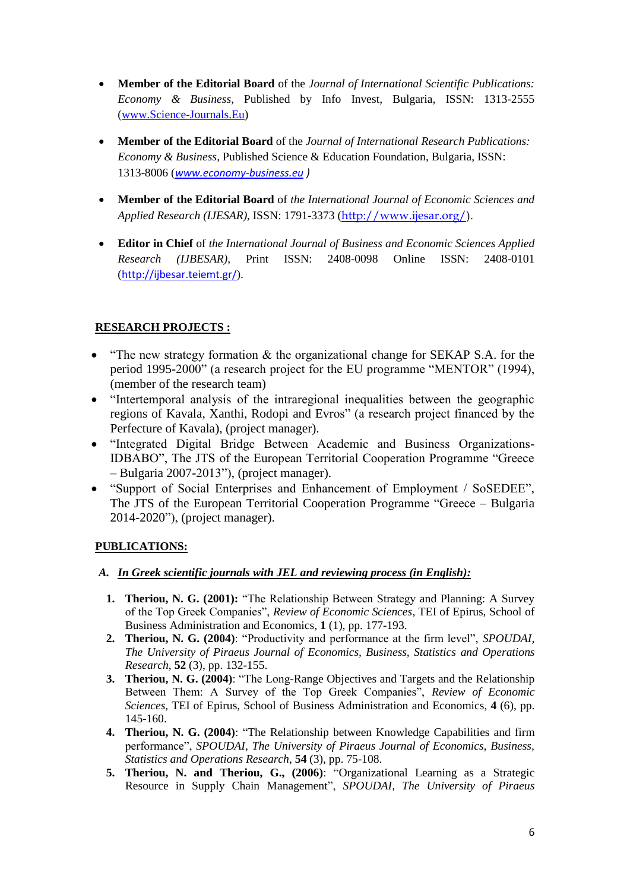- **Member of the Editorial Board** of the *Journal of International Scientific Publications: Economy & Business*, Published by Info Invest, Bulgaria, ISSN: 1313-2555 [\(www.Science-Journals.Eu\)](http://www.science-journals.eu/)
- **Member of the Editorial Board** of the *Journal of International Research Publications: Economy & Business*, Published Science & Education Foundation, Bulgaria, ISSN: 1313-8006 (*[www.economy-business.eu](http://www.economy-business.eu/) )*
- **Member of the Editorial Board** of *the International Journal of Economic Sciences and Applied Research (IJESAR),* ISSN: 1791-3373 ([http://www.ijesar.org/\)](http://www.ijesar.org/).
- **Editor in Chief** of *the International Journal of Business and Economic Sciences Applied Research (IJBESAR)*, Print ISSN: 2408-0098 Online ISSN: 2408-0101 (<http://ijbesar.teiemt.gr/>).

# **RESEARCH PROJECTS :**

- "The new strategy formation & the organizational change for SEKAP S.A. for the period 1995-2000" (a research project for the EU programme "MENTOR" (1994), (member of the research team)
- "Intertemporal analysis of the intraregional inequalities between the geographic regions of Kavala, Xanthi, Rodopi and Evros" (a research project financed by the Perfecture of Kavala), (project manager).
- "Integrated Digital Bridge Between Academic and Business Organizations-IDBABO", The JTS of the European Territorial Cooperation Programme "Greece – Bulgaria 2007-2013"), (project manager).
- "Support of Social Enterprises and Enhancement of Employment / SoSEDEE", The JTS of the European Territorial Cooperation Programme "Greece – Bulgaria 2014-2020"), (project manager).

# **PUBLICATIONS:**

- *A. In Greek scientific journals with JEL and reviewing process (in English):*
	- **1. Theriou, N. G. (2001):** "The Relationship Between Strategy and Planning: A Survey of the Top Greek Companies", *Review of Economic Sciences*, TEI of Epirus, School of Business Administration and Economics, **1** (1), pp. 177-193.
	- **2. Theriou, N. G. (2004)**: "Productivity and performance at the firm level", *SPOUDAI, The University of Piraeus Journal of Economics, Business, Statistics and Operations Research*, **52** (3), pp. 132-155.
	- **3. Theriou, N. G. (2004)**: "The Long-Range Objectives and Targets and the Relationship Between Them: A Survey of the Top Greek Companies", *Review of Economic Sciences*, TEI of Epirus, School of Business Administration and Economics, **4** (6), pp. 145-160.
	- **4. Theriou, N. G. (2004)**: "The Relationship between Knowledge Capabilities and firm performance", *SPOUDAI, The University of Piraeus Journal of Economics, Business, Statistics and Operations Research*, **54** (3), pp. 75-108.
	- **5. Theriou, N. and Theriou, G., (2006)**: "Organizational Learning as a Strategic Resource in Supply Chain Management", *SPOUDAI, The University of Piraeus*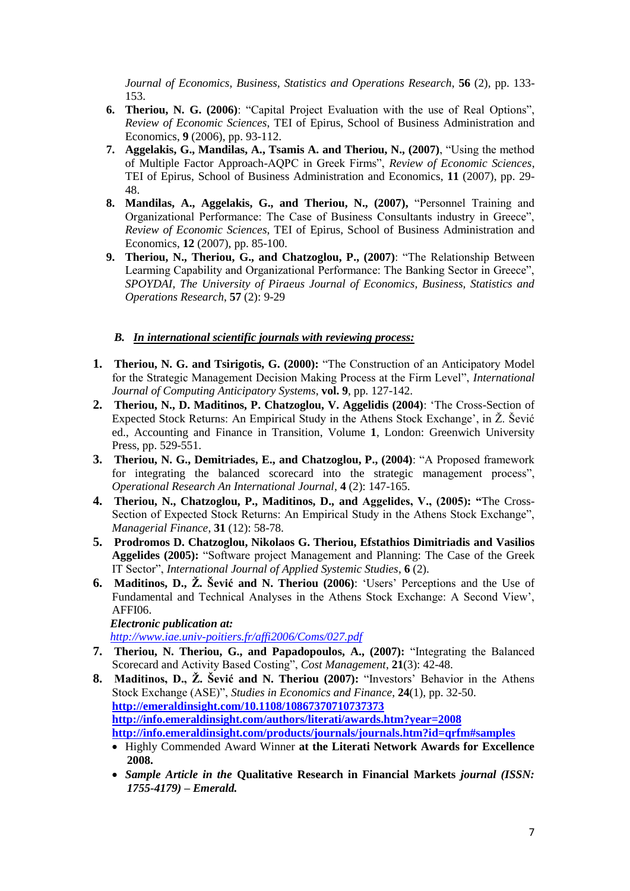*Journal of Economics, Business, Statistics and Operations Research*, **56** (2), pp. 133- 153.

- **6. Theriou, N. G. (2006)**: "Capital Project Evaluation with the use of Real Options", *Review of Economic Sciences*, TEI of Epirus, School of Business Administration and Economics, **9** (2006), pp. 93-112.
- **7. Aggelakis, G., Mandilas, A., Tsamis A. and Theriou, N., (2007)**, "Using the method of Multiple Factor Approach-AQPC in Greek Firms", *Review of Economic Sciences*, TEI of Epirus, School of Business Administration and Economics, **11** (2007), pp. 29- 48.
- **8. Mandilas, A., Aggelakis, G., and Theriou, N., (2007),** "Personnel Training and Organizational Performance: The Case of Business Consultants industry in Greece", *Review of Economic Sciences*, TEI of Epirus, School of Business Administration and Economics, **12** (2007), pp. 85-100.
- **9. Theriou, N., Theriou, G., and Chatzoglou, P., (2007)**: "The Relationship Between Learming Capability and Organizational Performance: The Banking Sector in Greece", *SPOYDAI, The University of Piraeus Journal of Economics, Business, Statistics and Operations Research*, **57** (2): 9-29

## *B. In international scientific journals with reviewing process:*

- **1. Theriou, N. G. and Tsirigotis, G. (2000):** "The Construction of an Anticipatory Model for the Strategic Management Decision Making Process at the Firm Level", *International Journal of Computing Anticipatory Systems*, **vol. 9**, pp. 127-142.
- **2. Theriou, N., D. Maditinos, P. Chatzoglou, V. Aggelidis (2004)**: "The Cross-Section of Expected Stock Returns: An Empirical Study in the Athens Stock Exchange", in Ž. Šević ed., Accounting and Finance in Transition, Volume **1**, London: Greenwich University Press, pp. 529-551.
- **3. Theriou, N. G., Demitriades, E., and Chatzoglou, P., (2004)**: "A Proposed framework for integrating the balanced scorecard into the strategic management process", *Operational Research An International Journal*, **4** (2): 147-165.
- **4. Theriou, N., Chatzoglou, P., Maditinos, D., and Aggelides, V., (2005): "**The Cross-Section of Expected Stock Returns: An Empirical Study in the Athens Stock Exchange", *Managerial Finance*, **31** (12): 58-78.
- **5. Prodromos D. Chatzoglou, Nikolaos G. Theriou, Efstathios Dimitriadis and Vasilios Aggelides (2005):** "Software project Management and Planning: The Case of the Greek IT Sector", *International Journal of Applied Systemic Studies*, **6** (2).
- **6. Maditinos, D., Ž. Šević and N. Theriou (2006)**: "Users" Perceptions and the Use of Fundamental and Technical Analyses in the Athens Stock Exchange: A Second View", AFFI06.

*Electronic publication at:*

*<http://www.iae.univ-poitiers.fr/affi2006/Coms/027.pdf>*

- **7. Theriou, N. Theriou, G., and Papadopoulos, A., (2007):** "Integrating the Balanced Scorecard and Activity Based Costing", *Cost Management*, **21**(3): 42-48.
- **8. Maditinos, D., Ž. Šević and N. Theriou (2007):** "Investors" Behavior in the Athens Stock Exchange (ASE)", *Studies in Economics and Finance*, **24**(1), pp. 32-50. **<http://emeraldinsight.com/10.1108/10867370710737373> <http://info.emeraldinsight.com/authors/literati/awards.htm?year=2008> <http://info.emeraldinsight.com/products/journals/journals.htm?id=qrfm#samples>**
	- Highly Commended Award Winner **at the Literati Network Awards for Excellence 2008.**
	- *Sample Article in the* **Qualitative Research in Financial Markets** *journal (ISSN: 1755-4179) – Emerald.*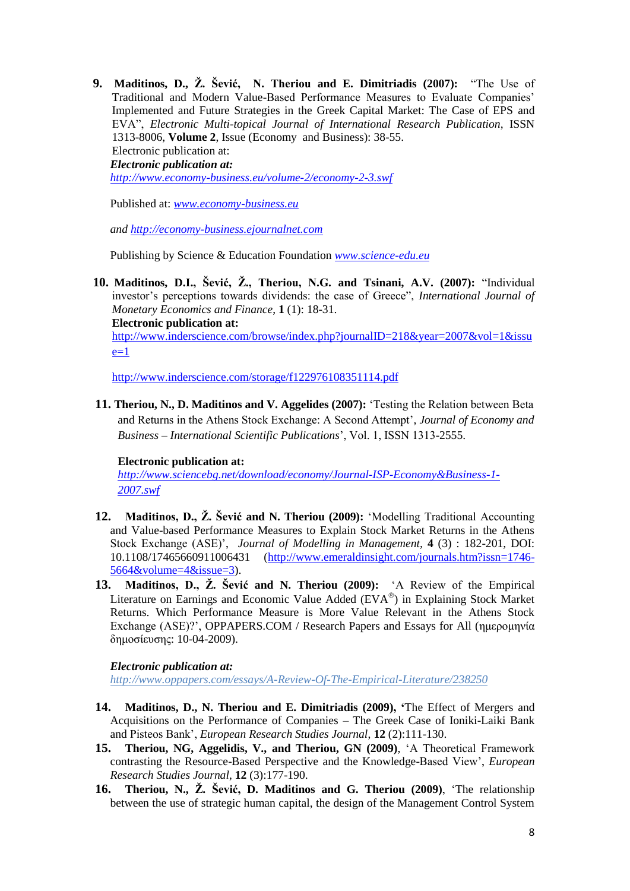**9. Maditinos, D., Ž. Šević, N. Theriou and E. Dimitriadis (2007):** "The Use of Traditional and Modern Value-Based Performance Measures to Evaluate Companies" Implemented and Future Strategies in the Greek Capital Market: The Case of EPS and EVA", *Electronic Multi-topical Journal of International Research Publication*, ISSN 1313-8006, **Volume 2**, Issue (Economy and Business): 38-55. Electronic publication at: *Electronic publication at: <http://www.economy-business.eu/volume-2/economy-2-3.swf>*

Published at: *[www.economy-business.eu](http://www.economy-business.eu/)*

*and [http://economy-business.ejournalnet.com](http://economy-business.ejournalnet.com/)*

Publishing by Science & Education Foundation *[www.science-edu.eu](http://www.science-edu.eu/)*

**10. Maditinos, D.Ι., Šević, Ž., Theriou, N.G. and Tsinani, A.V. (2007):** "Individual investor"s perceptions towards dividends: the case of Greece", *International Journal of Monetary Economics and Finance*, **1** (1): 18-31. **Electronic publication at:**

[http://www.inderscience.com/browse/index.php?journalID=218&year=2007&vol=1&issu](http://www.inderscience.com/browse/index.php?journalID=218&year=2007&vol=1&issue=1)  $e=1$ 

<http://www.inderscience.com/storage/f122976108351114.pdf>

**11. Theriou, N., D. Maditinos and V. Aggelides (2007):** "Testing the Relation between Beta and Returns in the Athens Stock Exchange: A Second Attempt", *Journal of Economy and Business – International Scientific Publications*", Vol. 1, ISSN 1313-2555.

### **Electronic publication at:**

*[http://www.sciencebg.net/download/economy/Journal-ISP-Economy&Business-1-](http://www.sciencebg.net/download/economy/Journal-ISP-Economy&Business-1-2007.swf) [2007.swf](http://www.sciencebg.net/download/economy/Journal-ISP-Economy&Business-1-2007.swf)*

- **12. Maditinos, D., Ž. Šević and N. Theriou (2009):** "Modelling Traditional Accounting and Value-based Performance Measures to Explain Stock Market Returns in the Athens Stock Exchange (ASE)", *Journal of Modelling in Management,* **4** (3) : 182-201, DOI: 10.1108/17465660911006431 [\(http://www.emeraldinsight.com/journals.htm?issn=1746-](http://www.emeraldinsight.com/journals.htm?issn=1746-5664&volume=4&issue=3) [5664&volume=4&issue=3\)](http://www.emeraldinsight.com/journals.htm?issn=1746-5664&volume=4&issue=3).
- **13. Maditinos, D., Ž. Šević and N. Theriou (2009):** "A Review of the Empirical Literature on Earnings and Economic Value Added  $(EVA^{\circledast})$  in Explaining Stock Market Returns. Which Performance Measure is More Value Relevant in the Athens Stock Exchange (ASE)?", OPPAPERS.COM / Research Papers and Essays for All (ημερομηνία δημοσίευσης: 10-04-2009).

### *Electronic publication at:*

*http://www.oppapers.com/essays/A-Review-Of-The-Empirical-Literature/238250*

- **14. Maditinos, D., N. Theriou and E. Dimitriadis (2009), '**The Effect of Mergers and Acquisitions on the Performance of Companies – The Greek Case of Ioniki-Laiki Bank and Pisteos Bank", *European Research Studies Journal*, **12** (2):111-130.
- **15. Theriou, NG, Aggelidis, V., and Theriou, GN (2009)**, "A Theoretical Framework contrasting the Resource-Based Perspective and the Knowledge-Based View", *European Research Studies Journal*, **12** (3):177-190.
- **16. Theriou, N., Ž. Šević, D. Maditinos and G. Theriou (2009)**, "The relationship between the use of strategic human capital, the design of the Management Control System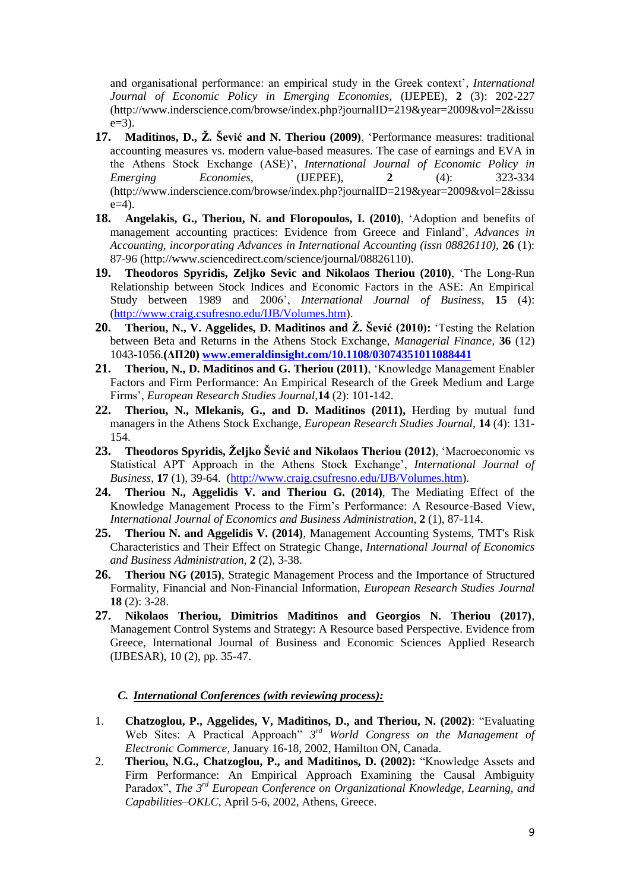and organisational performance: an empirical study in the Greek context", *International Journal of Economic Policy in Emerging Economies,* (IJEPEE), **2** (3): 202-227 (http://www.inderscience.com/browse/index.php?journalID=219&year=2009&vol=2&issu  $e=3$ ).

- **17. Maditinos, D., Ž. Šević and N. Theriou (2009)**, "Performance measures: traditional accounting measures vs. modern value-based measures. The case of earnings and EVA in the Athens Stock Exchange (ASE)", *International Journal of Economic Policy in Emerging Economies,* (IJEPEE), **2** (4): 323-334 (http://www.inderscience.com/browse/index.php?journalID=219&year=2009&vol=2&issu  $e=4$ ).
- **18. Angelakis, G., Theriou, N. and Floropoulos, I. (2010)**, "Adoption and benefits of management accounting practices: Evidence from Greece and Finland", *Advances in Accounting, incorporating Advances in International Accounting (issn 08826110),* **26** (1): 87-96 (http://www.sciencedirect.com/science/journal/08826110).
- **19. Theodoros Spyridis, Zeljko Sevic and Nikolaos Theriou (2010)**, "The Long-Run Relationship between Stock Indices and Economic Factors in the ASE: An Empirical Study between 1989 and 2006", *International Journal of Business*, **15** (4): [\(http://www.craig.csufresno.edu/IJB/Volumes.htm\)](http://www.craig.csufresno.edu/IJB/Volumes.htm).
- **20. Theriou, N., V. Aggelides, D. Maditinos and Ž. Šević (2010):** "Testing the Relation between Beta and Returns in the Athens Stock Exchange, *Managerial Finance,* **36** (12) 1043-1056.**(ΔΠ20) [www.emeraldinsight.com/10.1108/03074351011088441](http://www.emeraldinsight.com/10.1108/03074351011088441)**
- **21. Theriou, N., D. Maditinos and G. Theriou (2011)**, "Knowledge Management Enabler Factors and Firm Performance: An Empirical Research of the Greek Medium and Large Firms", *European Research Studies Journal,***14** (2): 101-142.
- **22. Theriou, N., Mlekanis, G., and D. Maditinos (2011),** Herding by mutual fund managers in the Athens Stock Exchange, *European Research Studies Journal,* **14** (4): 131- 154.
- **23. Theodoros Spyridis, Željko Šević and Nikolaos Theriou (2012)**, "Macroeconomic vs Statistical APT Approach in the Athens Stock Exchange', *International Journal of Business*, **17** (1), 39-64. [\(http://www.craig.csufresno.edu/IJB/Volumes.htm\)](http://www.craig.csufresno.edu/IJB/Volumes.htm).
- **24. Theriou N., Aggelidis V. and Theriou G. (2014)**, The Mediating Effect of the Knowledge Management Process to the Firm"s Performance: A Resource-Based View, *International Journal of Economics and Business Administration,* **2** (1), 87-114.
- **25. Theriou N. and Aggelidis V. (2014)**, Management Accounting Systems, TMT's Risk Characteristics and Their Effect on Strategic Change, *International Journal of Economics and Business Administration,* **2** (2), 3-38.
- **26. Theriou NG (2015)**, Strategic Management Process and the Importance of Structured Formality, Financial and Non-Financial Information, *European Research Studies Journal* **18** (2): 3-28.
- **27. Nikolaos Theriou, Dimitrios Maditinos and Georgios N. Theriou (2017)**, Management Control Systems and Strategy: A Resource based Perspective. Evidence from Greece, International Journal of Business and Economic Sciences Applied Research (IJBESAR), 10 (2), pp. 35-47.

### *C. International Conferences (with reviewing process):*

- 1. **Chatzoglou, P., Aggelides, V, Maditinos, D., and Theriou, N. (2002)**: "Evaluating Web Sites: A Practical Approach" *3 rd World Congress on the Management of Electronic Commerce*, January 16-18, 2002, Hamilton ON, Canada.
- 2. **Theriou, N.G., Chatzoglou, P., and Maditinos, D. (2002):** "Knowledge Assets and Firm Performance: An Empirical Approach Examining the Causal Ambiguity Paradox", *The 3rd European Conference on Organizational Knowledge, Learning, and Capabilities–OKLC*, April 5-6, 2002, Athens, Greece.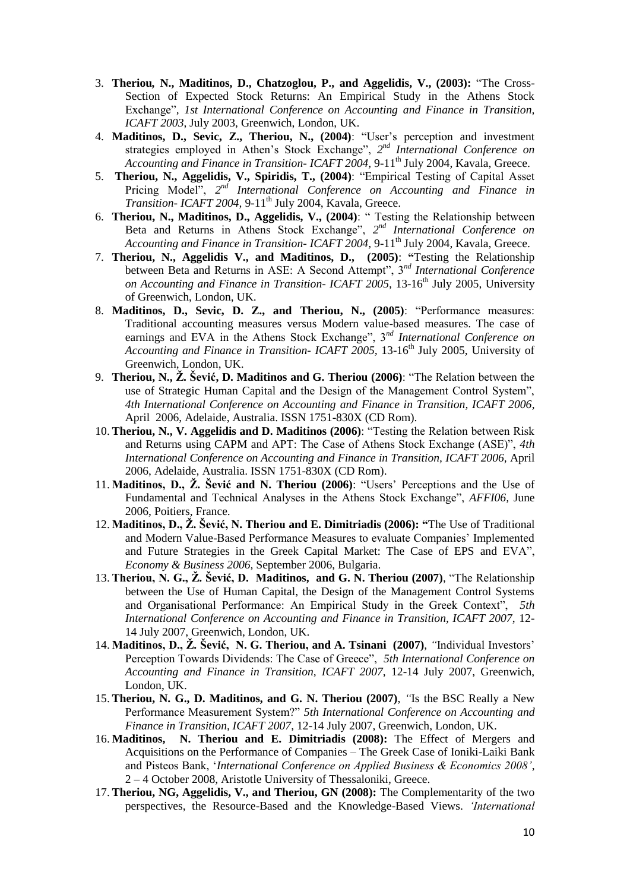- 3. **Theriou***,* **N., Maditinos, D., Chatzoglou, P., and Aggelidis, V., (2003):** "The Cross-Section of Expected Stock Returns: An Empirical Study in the Athens Stock Exchange"*, 1st International Conference on Accounting and Finance in Transition, ICAFT 2003*, July 2003, Greenwich, London, UK.
- 4. **Maditinos, D., Sevic, Z., Theriou, N., (2004)**: "User"s perception and investment strategies employed in Athen's Stock Exchange", 2<sup>nd</sup> International Conference on *Accounting and Finance in Transition- ICAFT 2004,* 9-11th July 2004, Kavala, Greece.
- 5. **Theriou, N., Aggelidis, V., Spiridis, T., (2004)**: "Empirical Testing of Capital Asset Pricing Model", 2<sup>nd</sup> International Conference on Accounting and Finance in *Transition-ICAFT 2004, 9-11<sup>th</sup> July 2004, Kavala, Greece.*
- 6. **Theriou, N., Maditinos, D., Aggelidis, V., (2004)**: " Testing the Relationship between Beta and Returns in Athens Stock Exchange", 2<sup>nd</sup> International Conference on Accounting and Finance in Transition- *ICAFT* 2004, 9-11<sup>th</sup> July 2004, Kavala, Greece.
- 7. **Theriou, N., Aggelidis V., and Maditinos, D., (2005)**: **"**Testing the Relationship between Beta and Returns in ASE: A Second Attempt", 3*nd International Conference on Accounting and Finance in Transition- ICAFT 2005, 13-16<sup>th</sup> July 2005, University* of Greenwich, London, UK.
- 8. **Maditinos, D., Sevic, D. Z., and Theriou, N., (2005)**: "Performance measures: Traditional accounting measures versus Modern value-based measures. The case of earnings and EVA in the Athens Stock Exchange", 3*nd International Conference on Accounting and Finance in Transition- ICAFT 2005,* 13-16th July 2005, University of Greenwich, London, UK.
- 9. **Theriou, N., Ž. Šević, D. Maditinos and G. Theriou (2006)**: "The Relation between the use of Strategic Human Capital and the Design of the Management Control System", *4th International Conference on Accounting and Finance in Transition, ICAFT 2006*, April 2006, Adelaide, Australia. ISSN 1751-830X (CD Rom).
- 10. **Theriou, N., V. Aggelidis and D. Maditinos (2006)**: "Testing the Relation between Risk and Returns using CAPM and APT: The Case of Athens Stock Exchange (ASE)", *4th International Conference on Accounting and Finance in Transition, ICAFT 2006,* April 2006, Adelaide, Australia. ISSN 1751-830X (CD Rom).
- 11. **Maditinos, D., Ž. Šević and N. Theriou (2006)**: "Users" Perceptions and the Use of Fundamental and Technical Analyses in the Athens Stock Exchange", *AFFI06,* June 2006, Poitiers, France.
- 12. **Maditinos, D., Ž. Šević, N. Theriou and E. Dimitriadis (2006): "**The Use of Traditional and Modern Value-Based Performance Measures to evaluate Companies" Implemented and Future Strategies in the Greek Capital Market: The Case of EPS and EVA", *Economy & Business 2006,* September 2006, Bulgaria.
- 13. **Theriou, N. G., Ž. Šević, D. Maditinos, and G. N. Theriou (2007)**, "The Relationship between the Use of Human Capital, the Design of the Management Control Systems and Organisational Performance: An Empirical Study in the Greek Context", *5th International Conference on Accounting and Finance in Transition, ICAFT 2007*, 12- 14 July 2007, Greenwich, London, UK.
- 14. **Maditinos, D., Ž. Šević, N. G. Theriou, and A. Tsinani (2007)**, *"*Individual Investors" Perception Towards Dividends: The Case of Greece", *5th International Conference on Accounting and Finance in Transition, ICAFT 2007*, 12-14 July 2007, Greenwich, London, UK.
- 15. **Theriou, N. G., D. Maditinos, and G. N. Theriou (2007)**, *"*Is the BSC Really a New Performance Measurement System?" *5th International Conference on Accounting and Finance in Transition, ICAFT 2007*, 12-14 July 2007, Greenwich, London, UK.
- 16. **Maditinos, N. Theriou and E. Dimitriadis (2008):** The Effect of Mergers and Acquisitions on the Performance of Companies – The Greek Case of Ioniki-Laiki Bank and Pisteos Bank, "*International Conference on Applied Business & Economics 2008"*, 2 – 4 October 2008, Aristotle University of Thessaloniki, Greece.
- 17. **Theriou, NG, Aggelidis, V., and Theriou, GN (2008):** The Complementarity of the two perspectives, the Resource-Based and the Knowledge-Based Views. *"International*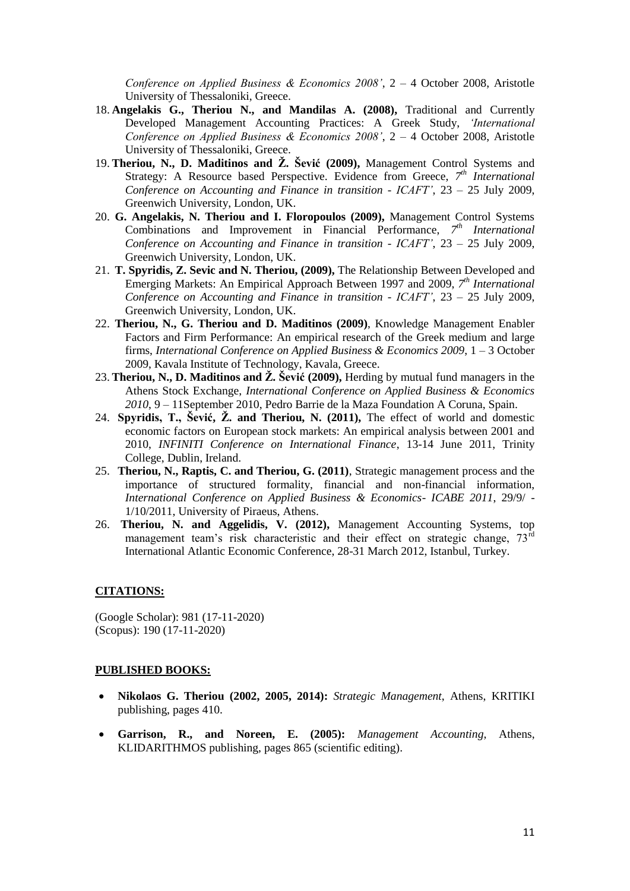*Conference on Applied Business & Economics 2008"*, 2 – 4 October 2008, Aristotle University of Thessaloniki, Greece.

- 18. **Angelakis G., Theriou N., and Mandilas A. (2008),** Traditional and Currently Developed Management Accounting Practices: A Greek Study, *"International Conference on Applied Business & Economics 2008"*, 2 – 4 October 2008, Aristotle University of Thessaloniki, Greece.
- 19. **Theriou, N., D. Maditinos and Ž. Šević (2009),** Management Control Systems and Strategy: A Resource based Perspective. Evidence from Greece, 7<sup>th</sup> International *Conference on Accounting and Finance in transition - ICAFT"*, 23 – 25 July 2009, Greenwich University, London, UK.
- 20. **G. Angelakis, N. Theriou and I. Floropoulos (2009),** Management Control Systems Combinations and Improvement in Financial Performance, 7<sup>th</sup> International *Conference on Accounting and Finance in transition - ICAFT"*, 23 – 25 July 2009, Greenwich University, London, UK.
- 21. **T. Spyridis, Z. Sevic and N. Theriou, (2009),** The Relationship Between Developed and Emerging Markets: An Empirical Approach Between 1997 and 2009, 7<sup>th</sup> International *Conference on Accounting and Finance in transition - ICAFT"*, 23 – 25 July 2009, Greenwich University, London, UK.
- 22. **Theriou, N., G. Theriou and D. Maditinos (2009)**, Knowledge Management Enabler Factors and Firm Performance: An empirical research of the Greek medium and large firms, *International Conference on Applied Business & Economics 2009*, 1 – 3 October 2009, Kavala Institute of Technology, Kavala, Greece.
- 23. **Theriou, N., D. Maditinos and Ž. Šević (2009),** Herding by mutual fund managers in the Athens Stock Exchange, *International Conference on Applied Business & Economics 2010*, 9 – 11September 2010, Pedro Barrie de la Maza Foundation A Coruna, Spain.
- 24. **Spyridis, T., Šević, Ž. and Theriou, N. (2011),** The effect of world and domestic economic factors on European stock markets: An empirical analysis between 2001 and 2010, *INFINITI Conference on International Finance*, 13-14 June 2011, Trinity College, Dublin, Ireland.
- 25. **Theriou, N., Raptis, C. and Theriou, G. (2011)**, Strategic management process and the importance of structured formality, financial and non-financial information, *International Conference on Applied Business & Economics- ICABE 2011*, 29/9/ - 1/10/2011, University of Piraeus, Athens.
- 26. **Theriou, N. and Aggelidis, V. (2012),** Management Accounting Systems, top management team's risk characteristic and their effect on strategic change, 73<sup>rd</sup> International Atlantic Economic Conference, 28-31 March 2012, Istanbul, Turkey.

### **CITATIONS:**

(Google Scholar): 981 (17-11-2020) (Scopus): 190 (17-11-2020)

#### **PUBLISHED BOOKS:**

- **Nikolaos G. Theriou (2002, 2005, 2014):** *Strategic Management*, Athens, KRITIKI publishing, pages 410.
- **Garrison, R., and Noreen, E. (2005):** *Management Accounting*, Athens, KLIDARITHMOS publishing, pages 865 (scientific editing).